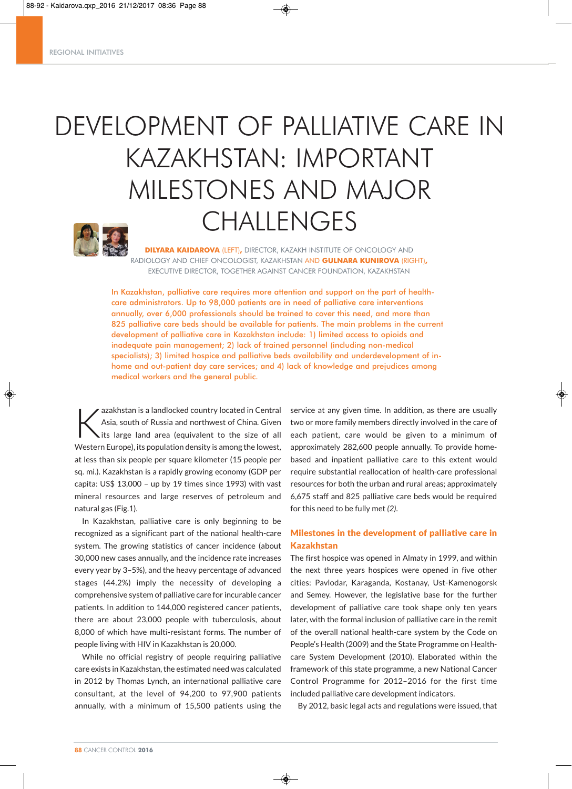# DEVELOPMENT OF PALLIATIVE CARE IN KAZAKHSTAN: IMPORTANT MILESTONES AND MAJOR CHALLENGES



**DILYARA KAIDAROVA** (LEFT)**,** DIRECTOR, KAZAKH INSTITUTE OF ONCOLOGY AND RADIOLOGY AND CHIEF ONCOLOGIST, KAZAKHSTAN AND **GULNARA KUNIROVA** (RIGHT)**,** EXECUTIVE DIRECTOR, TOGETHER AGAINST CANCER FOUNDATION, KAZAKHSTAN

In Kazakhstan, palliative care requires more attention and support on the part of healthcare administrators. Up to 98,000 patients are in need of palliative care interventions annually, over 6,000 professionals should be trained to cover this need, and more than 825 palliative care beds should be available for patients. The main problems in the current development of palliative care in Kazakhstan include: 1) limited access to opioids and inadequate pain management; 2) lack of trained personnel (including non-medical specialists); 3) limited hospice and palliative beds availability and underdevelopment of inhome and out-patient day care services; and 4) lack of knowledge and prejudices among medical workers and the general public.

◈

azakhstan is a landlocked country located in Central<br>Asia, south of Russia and northwest of China. Given<br>its large land area (equivalent to the size of all Asia, south of Russia and northwest of China. Given Western Europe), its population density is among the lowest, at less than six people per square kilometer (15 people per sq. mi.). Kazakhstan is a rapidly growing economy (GDP per capita: US\$ 13,000 – up by 19 times since 1993) with vast mineral resources and large reserves of petroleum and natural gas (Fig.1).

In Kazakhstan, palliative care is only beginning to be recognized as a significant part of the national health-care system. The growing statistics of cancer incidence (about 30,000 new cases annually, and the incidence rate increases every year by 3–5%), and the heavy percentage of advanced stages (44.2%) imply the necessity of developing a comprehensive system of palliative care for incurable cancer patients. In addition to 144,000 registered cancer patients, there are about 23,000 people with tuberculosis, about 8,000 of which have multi-resistant forms. The number of people living with HIV in Kazakhstan is 20,000.

While no official registry of people requiring palliative care exists in Kazakhstan, the estimated need was calculated in 2012 by Thomas Lynch, an international palliative care consultant, at the level of 94,200 to 97,900 patients annually, with a minimum of 15,500 patients using the

service at any given time. In addition, as there are usually two or more family members directly involved in the care of each patient, care would be given to a minimum of approximately 282,600 people annually. To provide homebased and inpatient palliative care to this extent would require substantial reallocation of health-care professional resources for both the urban and rural areas; approximately 6,675 staff and 825 palliative care beds would be required for this need to be fully met *(2)*.

# Milestones in the development of palliative care in Kazakhstan

The first hospice was opened in Almaty in 1999, and within the next three years hospices were opened in five other cities: Pavlodar, Karaganda, Kostanay, Ust-Kamenogorsk and Semey. However, the legislative base for the further development of palliative care took shape only ten years later, with the formal inclusion of palliative care in the remit of the overall national health-care system by the Code on People's Health (2009) and the State Programme on Healthcare System Development (2010). Elaborated within the framework of this state programme, a new National Cancer Control Programme for 2012–2016 for the first time included palliative care development indicators.

By 2012, basic legal acts and regulations were issued, that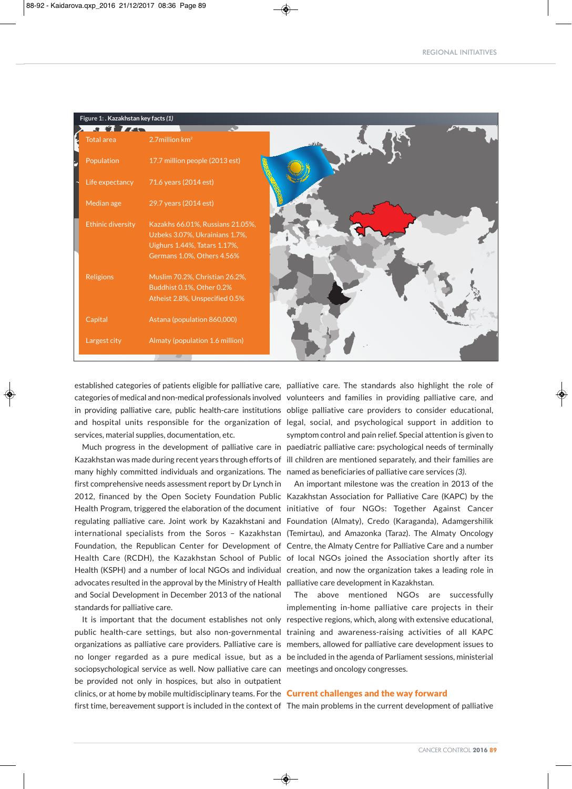| Figure 1: . Kazakhstan key facts (1) |                                                                |         |  |  |  |
|--------------------------------------|----------------------------------------------------------------|---------|--|--|--|
| J VI ZA<br><b>Total area</b>         | 2.7million $km2$                                               | $-37.8$ |  |  |  |
| Population                           | 17.7 million people (2013 est)                                 |         |  |  |  |
| Life expectancy                      | 71.6 years (2014 est)                                          |         |  |  |  |
| Median age                           | 29.7 years (2014 est)                                          |         |  |  |  |
| <b>Ethinic diversity</b>             | Kazakhs 66.01%, Russians 21.05%,                               |         |  |  |  |
|                                      | Uzbeks 3.07%, Ukrainians 1.7%,<br>Uighurs 1.44%, Tatars 1.17%, |         |  |  |  |
|                                      | Germans 1.0%, Others 4.56%                                     |         |  |  |  |
| <b>Religions</b>                     | Muslim 70.2%, Christian 26.2%,                                 |         |  |  |  |
|                                      | Buddhist 0.1%, Other 0.2%                                      |         |  |  |  |
|                                      | Atheist 2.8%, Unspecified 0.5%                                 |         |  |  |  |
| Capital                              | Astana (population 860,000)                                    |         |  |  |  |
| Largest city                         | Almaty (population 1.6 million)                                |         |  |  |  |
|                                      | 42                                                             |         |  |  |  |

established categories of patients eligible for palliative care, palliative care. The standards also highlight the role of services, material supplies, documentation, etc.

Kazakhstan was made during recent years through efforts of ill children are mentioned separately, and their families are many highly committed individuals and organizations. The named as beneficiaries of palliative care services *(3)*. first comprehensive needs assessment report by Dr Lynch in advocates resulted in the approval by the Ministry of Health palliative care development in Kazakhstan. and Social Development in December 2013 of the national standards for palliative care.

public health-care settings, but also non-governmental training and awareness-raising activities of all KAPC organizations as palliative care providers. Palliative care is members, allowed for palliative care development issues to no longer regarded as a pure medical issue, but as a be included in the agenda of Parliament sessions, ministerial sociopsychological service as well. Now palliative care can meetings and oncology congresses. be provided not only in hospices, but also in outpatient clinics, or at home by mobile multidisciplinary teams. For the **Current challenges and the way forward** first time, bereavement support is included in the context of The main problems in the current development of palliative

categories of medical and non-medical professionals involved volunteers and families in providing palliative care, and in providing palliative care, public health-care institutions oblige palliative care providers to consider educational, and hospital units responsible for the organization of legal, social, and psychological support in addition to Much progress in the development of palliative care in paediatric palliative care: psychological needs of terminally symptom control and pain relief. Special attention is given to

2012, financed by the Open Society Foundation Public Kazakhstan Association for Palliative Care (KAPC) by the Health Program, triggered the elaboration of the document initiative of four NGOs: Together Against Cancer regulating palliative care. Joint work by Kazakhstani and Foundation (Almaty), Credo (Karaganda), Adamgershilik international specialists from the Soros – Kazakhstan (Temirtau), and Amazonka (Taraz). The Almaty Oncology Foundation, the Republican Center for Development of Centre, the Almaty Centre for Palliative Care and a number Health Care (RCDH), the Kazakhstan School of Public of local NGOs joined the Association shortly after its Health (KSPH) and a number of local NGOs and individual creation, and now the organization takes a leading role in An important milestone was the creation in 2013 of the

It is important that the document establishes not only respective regions, which, along with extensive educational, The above mentioned NGOs are successfully implementing in-home palliative care projects in their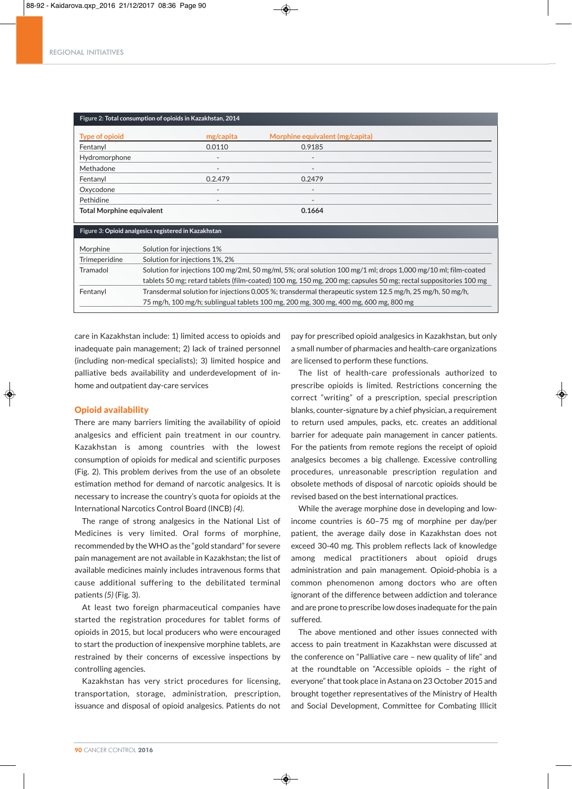| Figure 2: Total consumption of opioids in Kazakhstan, 2014                                                      |                                                                                                                |                                 |  |  |
|-----------------------------------------------------------------------------------------------------------------|----------------------------------------------------------------------------------------------------------------|---------------------------------|--|--|
| <b>Type of opioid</b>                                                                                           | mg/capita                                                                                                      | Morphine equivalent (mg/capita) |  |  |
| Fentanyl                                                                                                        | 0.0110                                                                                                         | 0.9185                          |  |  |
| Hydromorphone                                                                                                   |                                                                                                                |                                 |  |  |
| Methadone                                                                                                       |                                                                                                                |                                 |  |  |
| Fentanyl                                                                                                        | 0.2.479                                                                                                        | 0.2479                          |  |  |
| Oxycodone                                                                                                       | $\overline{\phantom{0}}$                                                                                       | $\overline{\phantom{a}}$        |  |  |
| Pethidine                                                                                                       |                                                                                                                |                                 |  |  |
| <b>Total Morphine equivalent</b>                                                                                |                                                                                                                | 0.1664                          |  |  |
| Figure 3: Opioid analgesics registered in Kazakhstan                                                            |                                                                                                                |                                 |  |  |
| Morphine                                                                                                        | Solution for injections 1%                                                                                     |                                 |  |  |
| Trimeperidine                                                                                                   | Solution for injections 1%, 2%                                                                                 |                                 |  |  |
| Tramadol                                                                                                        | Solution for injections 100 mg/2ml, 50 mg/ml, 5%; oral solution 100 mg/1 ml; drops 1,000 mg/10 ml; film-coated |                                 |  |  |
| tablets 50 mg; retard tablets (film-coated) 100 mg, 150 mg, 200 mg; capsules 50 mg; rectal suppositories 100 mg |                                                                                                                |                                 |  |  |
| Fentanyl                                                                                                        | Transdermal solution for injections 0.005 %; transdermal therapeutic system 12.5 mg/h, 25 mg/h, 50 mg/h,       |                                 |  |  |
|                                                                                                                 | 75 mg/h, 100 mg/h; sublingual tablets 100 mg, 200 mg, 300 mg, 400 mg, 600 mg, 800 mg                           |                                 |  |  |

care in Kazakhstan include: 1) limited access to opioids and inadequate pain management; 2) lack of trained personnel (including non-medical specialists); 3) limited hospice and palliative beds availability and underdevelopment of inhome and outpatient day-care services

# Opioid availability

There are many barriers limiting the availability of opioid analgesics and efficient pain treatment in our country. Kazakhstan is among countries with the lowest consumption of opioids for medical and scientific purposes (Fig. 2). This problem derives from the use of an obsolete estimation method for demand of narcotic analgesics. It is necessary to increase the country's quota for opioids at the International Narcotics Control Board (INCB) *(4)*.

The range of strong analgesics in the National List of Medicines is very limited. Oral forms of morphine, recommended by the WHO as the "gold standard" for severe pain management are not available in Kazakhstan; the list of available medicines mainly includes intravenous forms that cause additional suffering to the debilitated terminal patients *(5)* (Fig. 3).

At least two foreign pharmaceutical companies have started the registration procedures for tablet forms of opioids in 2015, but local producers who were encouraged to start the production of inexpensive morphine tablets, are restrained by their concerns of excessive inspections by controlling agencies.

Kazakhstan has very strict procedures for licensing, transportation, storage, administration, prescription, issuance and disposal of opioid analgesics. Patients do not pay for prescribed opioid analgesics in Kazakhstan, but only a small number of pharmacies and health-care organizations are licensed to perform these functions.

The list of health-care professionals authorized to prescribe opioids is limited. Restrictions concerning the correct "writing" of a prescription, special prescription blanks, counter-signature by a chief physician, a requirement to return used ampules, packs, etc. creates an additional barrier for adequate pain management in cancer patients. For the patients from remote regions the receipt of opioid analgesics becomes a big challenge. Excessive controlling procedures, unreasonable prescription regulation and obsolete methods of disposal of narcotic opioids should be revised based on the best international practices.

While the average morphine dose in developing and lowincome countries is 60–75 mg of morphine per day/per patient, the average daily dose in Kazakhstan does not exceed 30-40 mg. This problem reflects lack of knowledge among medical practitioners about opioid drugs administration and pain management. Opioid-phobia is a common phenomenon among doctors who are often ignorant of the difference between addiction and tolerance and are prone to prescribe low doses inadequate for the pain suffered.

The above mentioned and other issues connected with access to pain treatment in Kazakhstan were discussed at the conference on "Palliative care – new quality of life" and at the roundtable on "Accessible opioids – the right of everyone" that took place in Astana on 23 October 2015 and brought together representatives of the Ministry of Health and Social Development, Committee for Combating Illicit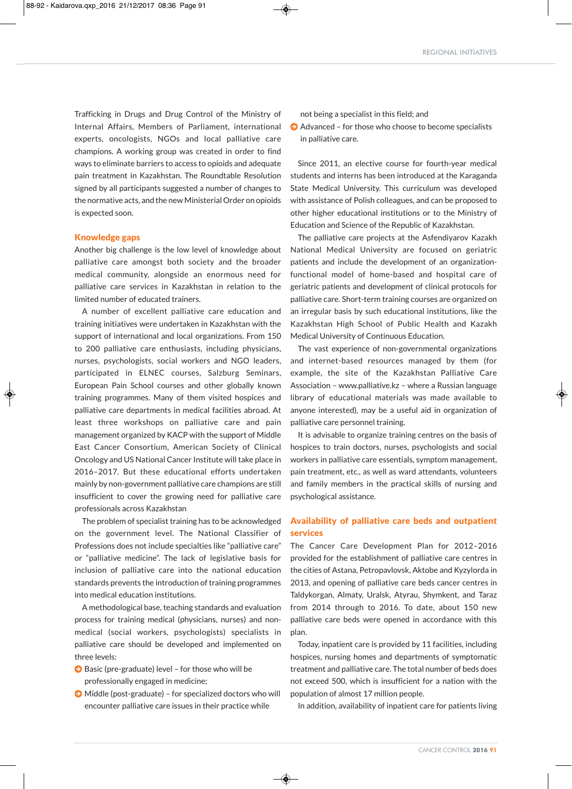Trafficking in Drugs and Drug Control of the Ministry of Internal Affairs, Members of Parliament, international experts, oncologists, NGOs and local palliative care champions. A working group was created in order to find ways to eliminate barriers to access to opioids and adequate pain treatment in Kazakhstan. The Roundtable Resolution signed by all participants suggested a number of changes to the normative acts, and the new Ministerial Order on opioids is expected soon.

# Knowledge gaps

Another big challenge is the low level of knowledge about palliative care amongst both society and the broader medical community, alongside an enormous need for palliative care services in Kazakhstan in relation to the limited number of educated trainers.

A number of excellent palliative care education and training initiatives were undertaken in Kazakhstan with the support of international and local organizations. From 150 to 200 palliative care enthusiasts, including physicians, nurses, psychologists, social workers and NGO leaders, participated in ELNEC courses, Salzburg Seminars, European Pain School courses and other globally known training programmes. Many of them visited hospices and palliative care departments in medical facilities abroad. At least three workshops on palliative care and pain management organized by KACP with the support of Middle East Cancer Consortium, American Society of Clinical Oncology and US National Cancer Institute will take place in 2016–2017. But these educational efforts undertaken mainly by non-government palliative care champions are still insufficient to cover the growing need for palliative care professionals across Kazakhstan

The problem of specialist training has to be acknowledged on the government level. The National Classifier of Professions does not include specialties like "palliative care" or "palliative medicine". The lack of legislative basis for inclusion of palliative care into the national education standards prevents the introduction of training programmes into medical education institutions.

A methodological base, teaching standards and evaluation process for training medical (physicians, nurses) and nonmedical (social workers, psychologists) specialists in palliative care should be developed and implemented on three levels:

- $\bigcirc$  Basic (pre-graduate) level for those who will be professionally engaged in medicine;
- $\bigodot$  Middle (post-graduate) for specialized doctors who will encounter palliative care issues in their practice while

◈

not being a specialist in this field; and

 $\bullet$  Advanced – for those who choose to become specialists in palliative care.

Since 2011, an elective course for fourth-year medical students and interns has been introduced at the Karaganda State Medical University. This curriculum was developed with assistance of Polish colleagues, and can be proposed to other higher educational institutions or to the Ministry of Education and Science of the Republic of Kazakhstan.

The palliative care projects at the Asfendiyarov Kazakh National Medical University are focused on geriatric patients and include the development of an organizationfunctional model of home-based and hospital care of geriatric patients and development of clinical protocols for palliative care. Short-term training courses are organized on an irregular basis by such educational institutions, like the Kazakhstan High School of Public Health and Kazakh Medical University of Continuous Education.

The vast experience of non-governmental organizations and internet-based resources managed by them (for example, the site of the Kazakhstan Palliative Care Association – www.palliative.kz – where a Russian language library of educational materials was made available to anyone interested), may be a useful aid in organization of palliative care personnel training.

It is advisable to organize training centres on the basis of hospices to train doctors, nurses, psychologists and social workers in palliative care essentials, symptom management, pain treatment, etc., as well as ward attendants, volunteers and family members in the practical skills of nursing and psychological assistance.

# Availability of palliative care beds and outpatient services

The Cancer Care Development Plan for 2012–2016 provided for the establishment of palliative care centres in the cities of Astana, Petropavlovsk, Aktobe and Kyzylorda in 2013, and opening of palliative care beds cancer centres in Taldykorgan, Almaty, Uralsk, Atyrau, Shymkent, and Taraz from 2014 through to 2016. To date, about 150 new palliative care beds were opened in accordance with this plan.

Today, inpatient care is provided by 11 facilities, including hospices, nursing homes and departments of symptomatic treatment and palliative care. The total number of beds does not exceed 500, which is insufficient for a nation with the population of almost 17 million people.

In addition, availability of inpatient care for patients living